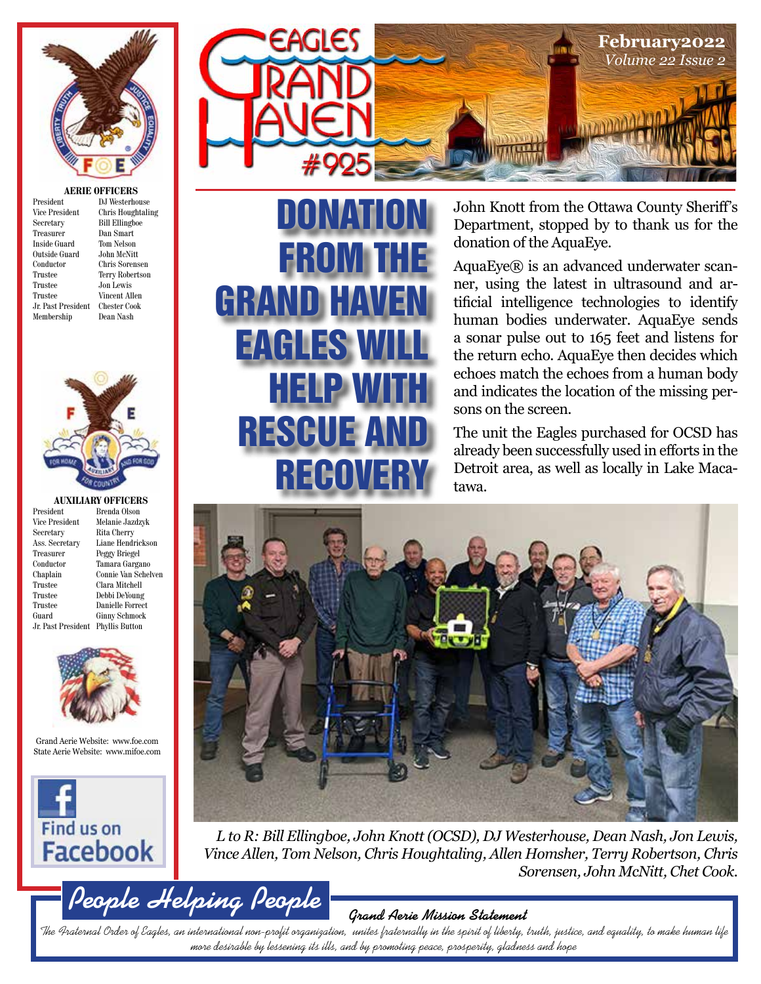

#### **AERIE OFFICERS** terhouse

| President             | DJ Westerhouse         |
|-----------------------|------------------------|
| <b>Vice President</b> | Chris Houghtaling      |
| Secretary             | <b>Bill Ellingboe</b>  |
| Treasurer             | Dan Smart              |
| <b>Inside Guard</b>   | Tom Nelson             |
| Outside Guard         | John McNitt            |
| Conductor             | Chris Sorensen         |
| Trustee               | <b>Terry Robertson</b> |
| Trustee               | Jon Lewis              |
| Trustee               | Vincent Allen          |
| Jr. Past President    | Chester Cook           |
| Membership            | Dean Nash              |
|                       |                        |



**AUXILIARY OFFICERS**<br>President Brenda Olson

President Brenda Olson<br>Vice President Melanie Jazd

Vice President Melanie Jazdzyk<br>Secretary Rita Cherry Rita Cherry Ass. Secretary Liane Hendrickson Treasurer Peggy Briegel<br>Conductor Tamara Garga Conductor Tamara Gargano Connie Van Schelven Trustee Clara Mitchell Trustee Debbi DeYoung Trustee Danielle Forrect<br>Guard Ginny Schmock Ginny Schmock Jr. Past President Phyllis Button



Grand Aerie Website: www.foe.com State Aerie Website: www.mifoe.com



**People Helping People**



DONATION

FROM THE

GRAND HAVEN

EAGLES WILL

RESCUE AND

HELP WITH

**REGOVER** 

John Knott from the Ottawa County Sheriff's Department, stopped by to thank us for the donation of the AquaEye.

AquaEye® is an advanced underwater scanner, using the latest in ultrasound and artificial intelligence technologies to identify human bodies underwater. AquaEye sends a sonar pulse out to 165 feet and listens for the return echo. AquaEye then decides which echoes match the echoes from a human body and indicates the location of the missing persons on the screen.

The unit the Eagles purchased for OCSD has already been successfully used in efforts in the Detroit area, as well as locally in Lake Macatawa.



*L to R: Bill Ellingboe, John Knott (OCSD), DJ Westerhouse, Dean Nash, Jon Lewis, Vince Allen, Tom Nelson, Chris Houghtaling, Allen Homsher, Terry Robertson, Chris Sorensen, John McNitt, Chet Cook.*

**Grand Aerie Mission Statement**

The Fraternal Order of Eagles, an international non-profit organization, unites fraternally in the spirit of liberty, truth, justice, and equality, to make human life more desirable by lessening its ills, and by promoting peace, prosperity, gladness and hope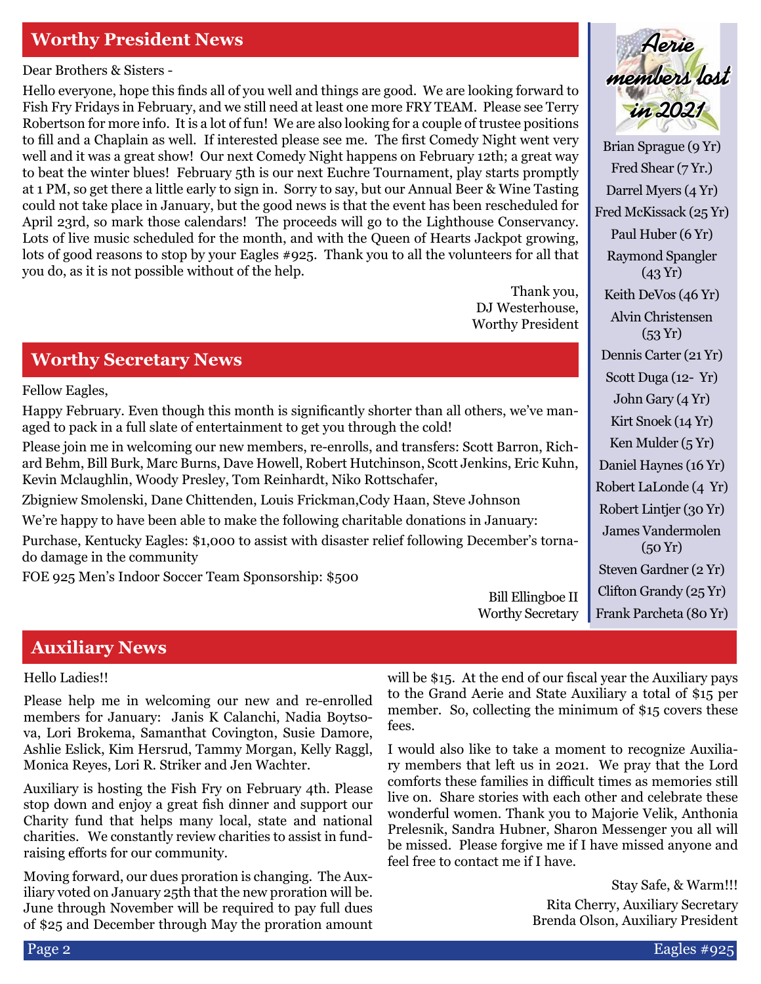### **Worthy President News**

Dear Brothers & Sisters -

Hello everyone, hope this finds all of you well and things are good. We are looking forward to Fish Fry Fridays in February, and we still need at least one more FRY TEAM. Please see Terry Robertson for more info. It is a lot of fun! We are also looking for a couple of trustee positions to fill and a Chaplain as well. If interested please see me. The first Comedy Night went very well and it was a great show! Our next Comedy Night happens on February 12th; a great way to beat the winter blues! February 5th is our next Euchre Tournament, play starts promptly at 1 PM, so get there a little early to sign in. Sorry to say, but our Annual Beer & Wine Tasting could not take place in January, but the good news is that the event has been rescheduled for April 23rd, so mark those calendars! The proceeds will go to the Lighthouse Conservancy. Lots of live music scheduled for the month, and with the Queen of Hearts Jackpot growing, lots of good reasons to stop by your Eagles #925. Thank you to all the volunteers for all that you do, as it is not possible without of the help.

> Thank you, DJ Westerhouse, Worthy President

#### **Worthy Secretary News**

Fellow Eagles,

Happy February. Even though this month is significantly shorter than all others, we've managed to pack in a full slate of entertainment to get you through the cold!

Please join me in welcoming our new members, re-enrolls, and transfers: Scott Barron, Richard Behm, Bill Burk, Marc Burns, Dave Howell, Robert Hutchinson, Scott Jenkins, Eric Kuhn, Kevin Mclaughlin, Woody Presley, Tom Reinhardt, Niko Rottschafer,

Zbigniew Smolenski, Dane Chittenden, Louis Frickman,Cody Haan, Steve Johnson

We're happy to have been able to make the following charitable donations in January:

Purchase, Kentucky Eagles: \$1,000 to assist with disaster relief following December's tornado damage in the community

FOE 925 Men's Indoor Soccer Team Sponsorship: \$500

Brian Sprague (9 Yr) **Aerie members lost in 2021**

Fred Shear (7 Yr.) Darrel Myers (4 Yr) Fred McKissack (25 Yr) Paul Huber (6 Yr) Raymond Spangler (43 Yr) Keith DeVos (46 Yr) Alvin Christensen  $(53 Yr)$ Dennis Carter (21 Yr) Scott Duga (12- Yr) John Gary (4 Yr) Kirt Snoek (14 Yr) Ken Mulder (5 Yr) Daniel Haynes (16 Yr) Robert LaLonde (4 Yr) Robert Lintjer (30 Yr) James Vandermolen (50 Yr) Steven Gardner (2 Yr) Clifton Grandy (25 Yr) Frank Parcheta (80 Yr)

Bill Ellingboe II Worthy Secretary

#### **Auxiliary News**

#### Hello Ladies!!

Please help me in welcoming our new and re-enrolled members for January: Janis K Calanchi, Nadia Boytsova, Lori Brokema, Samanthat Covington, Susie Damore, Ashlie Eslick, Kim Hersrud, Tammy Morgan, Kelly Raggl, Monica Reyes, Lori R. Striker and Jen Wachter.

Auxiliary is hosting the Fish Fry on February 4th. Please stop down and enjoy a great fish dinner and support our Charity fund that helps many local, state and national charities. We constantly review charities to assist in fundraising efforts for our community.

Moving forward, our dues proration is changing. The Auxiliary voted on January 25th that the new proration will be. June through November will be required to pay full dues of \$25 and December through May the proration amount will be \$15. At the end of our fiscal year the Auxiliary pays to the Grand Aerie and State Auxiliary a total of \$15 per member. So, collecting the minimum of \$15 covers these fees.

I would also like to take a moment to recognize Auxiliary members that left us in 2021. We pray that the Lord comforts these families in difficult times as memories still live on. Share stories with each other and celebrate these wonderful women. Thank you to Majorie Velik, Anthonia Prelesnik, Sandra Hubner, Sharon Messenger you all will be missed. Please forgive me if I have missed anyone and feel free to contact me if I have.

> Stay Safe, & Warm!!! Rita Cherry, Auxiliary Secretary Brenda Olson, Auxiliary President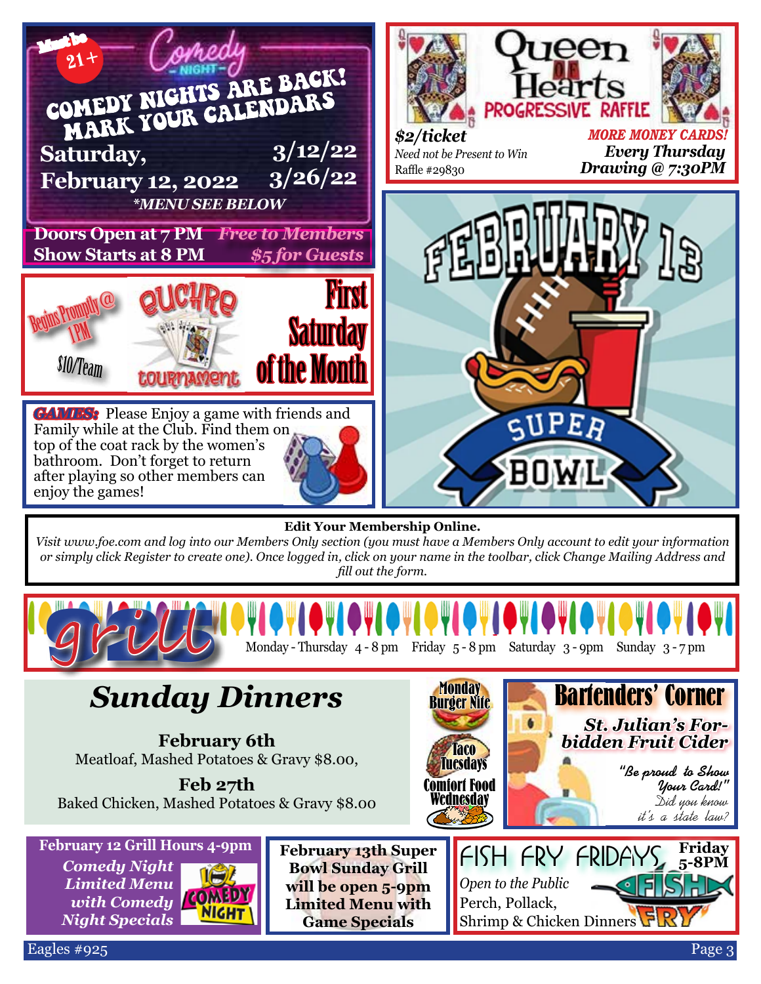